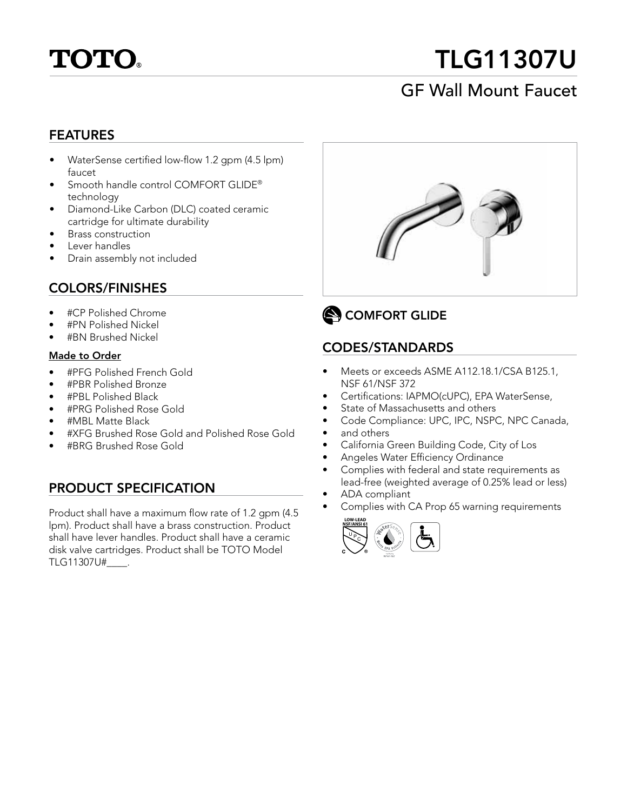

# TLG11307U

# GF Wall Mount Faucet

#### FEATURES

- WaterSense certified low-flow 1.2 gpm (4.5 lpm) faucet
- Smooth handle control COMFORT GLIDE® technology
- Diamond-Like Carbon (DLC) coated ceramic cartridge for ultimate durability
- Brass construction
- Lever handles
- Drain assembly not included

#### COLORS/FINISHES

- #CP Polished Chrome
- #PN Polished Nickel
- #BN Brushed Nickel

#### Made to Order

- #PFG Polished French Gold
- #PBR Polished Bronze
- #PBL Polished Black
- #PRG Polished Rose Gold
- #MBL Matte Black
- #XFG Brushed Rose Gold and Polished Rose Gold
- #BRG Brushed Rose Gold

#### PRODUCT SPECIFICATION

Product shall have a maximum flow rate of 1.2 gpm (4.5 lpm). Product shall have a brass construction. Product shall have lever handles. Product shall have a ceramic disk valve cartridges. Product shall be TOTO Model TLG11307U#\_\_\_\_.





#### CODES/STANDARDS

- Meets or exceeds ASME A112.18.1/CSA B125.1, NSF 61/NSF 372
- Certifications: IAPMO(cUPC), EPA WaterSense,
- State of Massachusetts and others
- Code Compliance: UPC, IPC, NSPC, NPC Canada,
- and others
- California Green Building Code, City of Los
- Angeles Water Efficiency Ordinance
- Complies with federal and state requirements as lead-free (weighted average of 0.25% lead or less)
- ADA compliant
- Complies with CA Prop 65 warning requirements